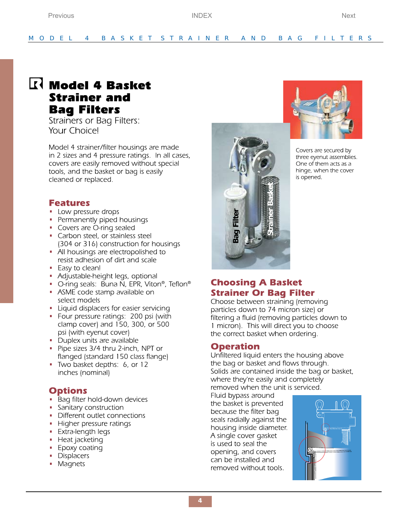# **R** Model 4 Basket **Strainer and Bag Filters**

<span id="page-0-1"></span><span id="page-0-0"></span>Previous

Strainers or Bag Filters: Your Choice!

Model 4 strainer/filter housings are made in 2 sizes and 4 pressure ratings. In all cases, covers are easily removed without special tools, and the basket or bag is easily cleaned or replaced.

## **Features**

- Low pressure drops
- Permanently piped housings
- Covers are O-ring sealed
- Carbon steel, or stainless steel (304 or 316) construction for housings
- All housings are electropolished to resist adhesion of dirt and scale
- Easy to clean!
- Adjustable-height legs, optional
- O-ring seals: Buna N, EPR, Viton<sup>®</sup>, Teflon<sup>®</sup>
- ASME code stamp available on select models
- Liquid displacers for easier servicing
- Four pressure ratings: 200 psi (with clamp cover) and 150, 300, or 500 psi (with eyenut cover)
- Duplex units are available
- Pipe sizes 3/4 thru 2-inch, NPT or flanged (standard 150 class flange)
- Two basket depths: 6, or 12 inches (nominal)

## **Options**

- Bag filter hold-down devices
- Sanitary construction
- Different outlet connections
- Higher pressure ratings
- $\blacksquare$  Extra-length legs
- Heat jacketing
- $\blacksquare$  Epoxy coating
- Displacers
- Magnets





Covers are secured by three eyenut assemblies. One of them acts as a hinge, when the cover is opened.

## **Choosing A Basket Strainer Or Bag Filter**

Choose between straining (removing particles down to 74 micron size) or filtering a fluid (removing particles down to 1 micron). This will direct you to choose the correct basket when ordering.

## **Operation**

Unfiltered liquid enters the housing above the bag or basket and flows through. Solids are contained inside the bag or basket, where they're easily and completely removed when the unit is serviced.

Fluid bypass around the basket is prevented because the filter bag seals radially against the housing inside diameter. A single cover gasket is used to seal the opening, and covers can be installed and removed without tools.

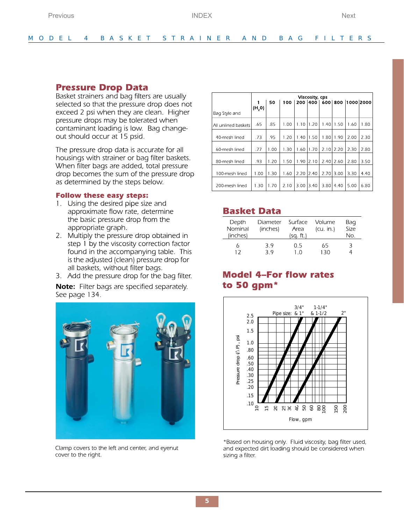### <span id="page-1-0"></span>**Pressure Drop Data**

Basket strainers and bag filters are usually selected so that the pressure drop does not exceed 2 psi when they are clean. Higher pressure drops may be tolerated when contaminant loading is low. Bag changeout should occur at 15 psid.

The pressure drop data is accurate for all housings with strainer or bag filter baskets. When filter bags are added, total pressure drop becomes the sum of the pressure drop as determined by the steps below.

#### **Follow these easy steps:**

- 1. Using the desired pipe size and approximate flow rate, determine the basic pressure drop from the appropriate graph.
- 2. Multiply the pressure drop obtained in step 1 by the viscosity correction factor found in the accompanying table. This is the adjusted (clean) pressure drop for all baskets, without filter bags.
- 3. Add the pressure drop for the bag filter.

Note: Filter bags are specified separately. See page 134.



Clamp covers to the left and center, and eyenut cover to the right.

|                     | Viscosity, cps |      |      |      |      |      |      |                           |      |  |
|---------------------|----------------|------|------|------|------|------|------|---------------------------|------|--|
|                     |                | 50   | 100  |      |      |      |      | 200 400 600 800 1000 2000 |      |  |
| Bag Style and       | (H, 0)         |      |      |      |      |      |      |                           |      |  |
| All unlined baskets | .65            | .85  | 1.00 | 1.10 | 1.20 | 1.40 | 1.50 | 1.60                      | 1.80 |  |
| 40-mesh lined       | .73            | .95  | 1.20 | 1.40 | 1.50 | 1.80 | 1.90 | 2.00                      | 2.30 |  |
| 60-mesh lined       | .77            | 1.00 | 1.30 | 1.60 | 1.70 | 2.10 | 2.20 | 2.30                      | 2.80 |  |
| 80-mesh lined       | .93            | 1.20 | 1.50 | 1.90 | 2.10 | 2.40 | 2.60 | 2.80                      | 3.50 |  |
| 100-mesh lined      | 1.00           | 1.30 | 1.60 | 2.20 | 2.40 | 2.70 | 3.00 | 3.30                      | 4.40 |  |
| 200-mesh lined      | 1.30           | 1.70 | 2.10 | 3.00 | 3.40 | 3.80 | 4.40 | 5.00                      | 6.80 |  |

## **Basket Data**

| Depth<br>Nominal<br>(inches) | Diameter<br>(inches) | Surface<br>Area<br>(sq. ft.) | Volume<br>(cu. in.) | Bag<br>Size<br>No. |
|------------------------------|----------------------|------------------------------|---------------------|--------------------|
|                              | 39<br>3 O            | 0.5<br>- ( )                 | 65<br>1 3 Ω         | 3                  |

## **Model 4-For flow rates** to 50 gpm\*



\*Based on housing only. Fluid viscosity, bag filter used, and expected dirt loading should be considered when sizing a filter.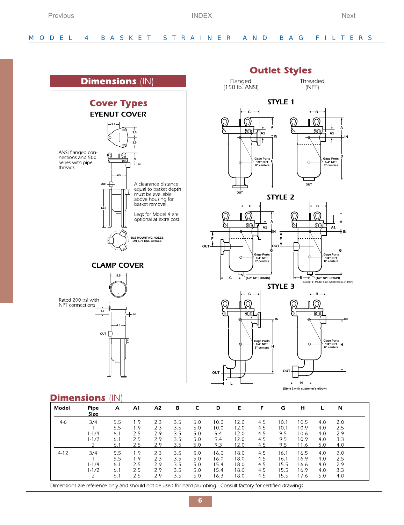<span id="page-2-0"></span>

### Dimonsions /////

| риненыоны |                                    | (IIN)                           |                                 |                                 |                                 |                                 |                                      |                                      |                                 |                                     |                                      |                                 |                                 |
|-----------|------------------------------------|---------------------------------|---------------------------------|---------------------------------|---------------------------------|---------------------------------|--------------------------------------|--------------------------------------|---------------------------------|-------------------------------------|--------------------------------------|---------------------------------|---------------------------------|
| Model     | Pipe<br><b>Size</b>                | A                               | A1                              | A2                              | в                               | c                               | D                                    | Е                                    | F                               | G                                   | н                                    |                                 | N                               |
| $4-6$     | 3/4<br>$1 - 1/4$<br>$1 - 1/2$      | 5.5<br>5.5<br>6.1<br>6.1<br>6.1 | 1.9<br>1.9<br>2.5<br>2.5<br>2.5 | 2.3<br>2.3<br>2.9<br>2.9<br>2.9 | 3.5<br>3.5<br>3.5<br>3.5<br>3.5 | 5.0<br>5.0<br>5.0<br>5.0<br>5.0 | 10.0<br>10.0<br>9.4<br>9.4<br>9.3    | 12.0<br>12.0<br>12.0<br>12.0<br>12.0 | 4.5<br>4.5<br>4.5<br>4.5<br>4.5 | 10.1<br>10.1<br>9.5<br>9.5<br>9.5   | 10.5<br>10.9<br>10.6<br>10.9<br>11.6 | 4.0<br>4.0<br>4.0<br>4.0<br>5.0 | 2.0<br>2.5<br>2.9<br>3.3<br>4.0 |
| $4-12$    | 3/4<br>$1 - 1/4$<br>$1 - 1/2$<br>∍ | 5.5<br>5.5<br>6.1<br>6.1<br>6.1 | 1.9<br>1.9<br>2.5<br>2.5<br>2.5 | 2.3<br>2.3<br>2.9<br>2.9<br>2.9 | 3.5<br>3.5<br>3.5<br>3.5<br>3.5 | 5.0<br>5.0<br>5.0<br>5.0<br>5.0 | 16.0<br>16.0<br>15.4<br>15.4<br>16.3 | 18.0<br>18.0<br>18.0<br>18.0<br>18.0 | 4.5<br>4.5<br>4.5<br>4.5<br>4.5 | 16.<br>16.1<br>15.5<br>15.5<br>15.5 | 16.5<br>16.9<br>16.6<br>16.9<br>17.6 | 4.0<br>4.0<br>4.0<br>4.0<br>5.0 | 2.0<br>2.5<br>2.9<br>3.3<br>4.0 |

Dimensions are reference only and should not be used for hard plumbing. Consult factory for certified drawings.

#### **C**

**OUT**

**C**

 $\mathbb{Q}$ 

 $\setminus$ 

 $\varnothing$ নৈ Flanged

 $(150$  lb. ANSI)



STYLE<sub>2</sub>

**IN**

**Outlet Styles** 

STYLE 1

**E**

**Gage Ports 1/4" NPT** 8" center

STYLE 3





**B**

**OUT**

A1 <u>I</u>., <del>4 M/1</del> A1

**A A**

**B**

Threaded

(NPT)

**D**

**Gage Ports 1/4" NPT 8" centers**

 $\overline{\phantom{a}}$ 

**IN**